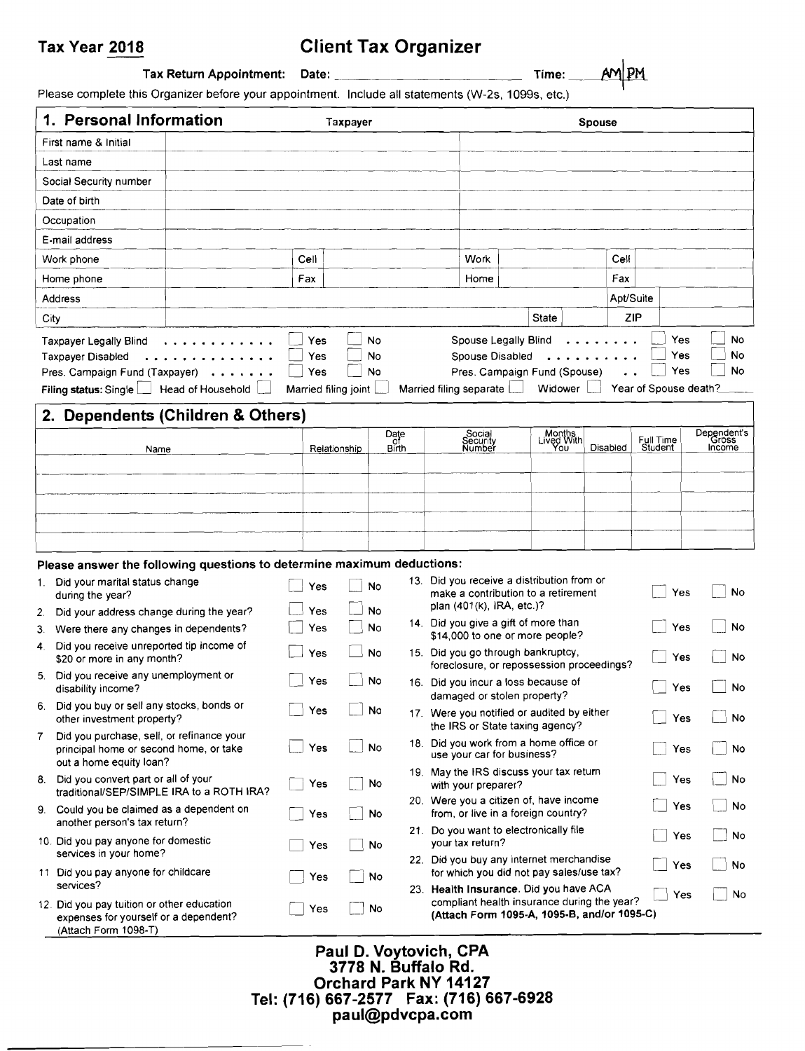# Tax Year 2018 Client Tax Organizer

Tax Return Appointment: Date: Time:\_~

Please complete this Organizer before your appointment. Include all statements (W-2s, 1099s, etc.)

|      | 1. Personal Information                                                                                                           |                                                                        |                   | <b>Taxpayer</b>      |                |                                                                                                                                      |                                         | <b>Spouse</b> |                                            |                                |
|------|-----------------------------------------------------------------------------------------------------------------------------------|------------------------------------------------------------------------|-------------------|----------------------|----------------|--------------------------------------------------------------------------------------------------------------------------------------|-----------------------------------------|---------------|--------------------------------------------|--------------------------------|
|      | First name & Initial                                                                                                              |                                                                        |                   |                      |                |                                                                                                                                      |                                         |               |                                            |                                |
|      | Last name                                                                                                                         |                                                                        |                   |                      |                |                                                                                                                                      |                                         |               |                                            |                                |
|      | Social Security number                                                                                                            |                                                                        |                   |                      |                |                                                                                                                                      |                                         |               |                                            |                                |
|      | Date of birth                                                                                                                     |                                                                        |                   |                      |                |                                                                                                                                      |                                         |               |                                            |                                |
|      | Occupation                                                                                                                        |                                                                        |                   |                      |                |                                                                                                                                      |                                         |               |                                            |                                |
|      | E-mail address                                                                                                                    |                                                                        |                   |                      |                |                                                                                                                                      |                                         |               |                                            |                                |
|      | Work phone                                                                                                                        |                                                                        | Cell              |                      |                | Work                                                                                                                                 |                                         | Cell          |                                            |                                |
|      | Home phone                                                                                                                        |                                                                        | Fax               |                      |                | Home                                                                                                                                 |                                         | Fax           |                                            |                                |
|      | Address                                                                                                                           |                                                                        |                   |                      |                |                                                                                                                                      |                                         | Apt/Suite     |                                            |                                |
| City |                                                                                                                                   |                                                                        |                   |                      |                |                                                                                                                                      | <b>State</b>                            | ZIP           |                                            |                                |
|      | Taxpayer Legally Blind<br><b>Taxpayer Disabled</b><br>Pres. Campaign Fund (Taxpayer)<br>Filing status: Single   Head of Household | .                                                                      | Yes<br>Yes<br>Yes | Married filing joint | No<br>No<br>No | Spouse Legally Blind<br>Spouse Disabled<br>Married filing separate                                                                   | Pres. Campaign Fund (Spouse)<br>Widower |               | Yes<br>Yes<br>Yes<br>Year of Spouse death? | No<br>No<br>No                 |
|      |                                                                                                                                   | 2. Dependents (Children & Others)                                      |                   |                      |                |                                                                                                                                      |                                         |               |                                            |                                |
|      | Name                                                                                                                              |                                                                        |                   | Relationship         | Date<br>Birth  | Social<br>Security<br>Number                                                                                                         | Months<br>Lived With                    | Disabled      | Full Time<br>Student                       | Dependent's<br>Gross<br>Income |
|      |                                                                                                                                   |                                                                        |                   |                      |                |                                                                                                                                      |                                         |               |                                            |                                |
|      |                                                                                                                                   |                                                                        |                   |                      |                |                                                                                                                                      |                                         |               |                                            |                                |
|      |                                                                                                                                   |                                                                        |                   |                      |                |                                                                                                                                      |                                         |               |                                            |                                |
|      |                                                                                                                                   |                                                                        |                   |                      |                |                                                                                                                                      |                                         |               |                                            |                                |
|      |                                                                                                                                   |                                                                        |                   |                      |                |                                                                                                                                      |                                         |               |                                            |                                |
|      |                                                                                                                                   | Please answer the following questions to determine maximum deductions: |                   |                      |                |                                                                                                                                      |                                         |               |                                            |                                |
|      | 1. Did your marital status change<br>during the year?                                                                             |                                                                        | Yes               |                      | No             | 13. Did you receive a distribution from or<br>make a contribution to a retirement<br>plan (401(k), IRA, etc.)?                       |                                         |               | Yes                                        | No                             |
| 2.   | Did your address change during the year?                                                                                          |                                                                        | Yes               |                      | No             | 14. Did you give a gift of more than                                                                                                 |                                         |               |                                            |                                |
| 3.   | Were there any changes in dependents?                                                                                             |                                                                        | Yes               |                      | No             | \$14,000 to one or more people?                                                                                                      |                                         |               | Yes                                        | No                             |
| 4.   | Did you receive unreported tip income of<br>\$20 or more in any month?                                                            |                                                                        | Yes               |                      | No             | 15. Did you go through bankruptcy,<br>foreclosure, or repossession proceedings?                                                      |                                         |               | Yes                                        | No                             |
| 5.   | Did you receive any unemployment or<br>disability income?                                                                         |                                                                        | Yes               |                      | No             | 16. Did you incur a loss because of<br>damaged or stolen property?                                                                   |                                         |               | Yes                                        | No                             |
|      | 6. Did you buy or sell any stocks, bonds or<br>other investment property?                                                         |                                                                        | Yes               |                      | No             | 17. Were you notified or audited by either<br>the IRS or State taxing agency?                                                        |                                         |               | Yes                                        | No                             |
| 7    | Did you purchase, sell, or refinance your<br>principal home or second home, or take                                               |                                                                        | Yes               |                      | No             | 18. Did you work from a home office or<br>use your car for business?                                                                 |                                         |               | Yes                                        | No                             |
|      | out a home equity loan?<br>8. Did you convert part or all of your<br>traditional/SEP/SIMPLE IRA to a ROTH IRA?                    |                                                                        | Yes               |                      | No             | 19. May the IRS discuss your tax return<br>with your preparer?                                                                       |                                         |               | Yes                                        | No                             |
|      | 9. Could you be claimed as a dependent on                                                                                         |                                                                        | Yes               |                      | No             | 20. Were you a citizen of, have income<br>from, or live in a foreign country?                                                        |                                         |               | Yes                                        | No                             |
|      | another person's tax return?<br>10. Did you pay anyone for domestic                                                               |                                                                        | Yes               |                      | No             | 21. Do you want to electronically file<br>your tax return?                                                                           |                                         |               | Yes                                        | No                             |
|      | services in your home?<br>11 Did you pay anyone for childcare                                                                     |                                                                        | Yes               |                      | No             | 22. Did you buy any internet merchandise<br>for which you did not pay sales/use tax?                                                 |                                         |               | Yes                                        | No                             |
|      | services?<br>12. Did you pay tuition or other education<br>expenses for yourself or a dependent?<br>(Attach Form 1098-T)          |                                                                        | Yes               |                      | No             | 23. Health Insurance. Did you have ACA<br>compliant health insurance during the year?<br>(Attach Form 1095-A, 1095-B, and/or 1095-C) |                                         |               | Yes                                        | No                             |

#### Paul D. Voytovich, CPA 3778 N. Buffalo Rd. Orchard Park NY 14127 Tel: (716) 667-2577 Fax: (716) 667-6928 paul@pdvcpa.com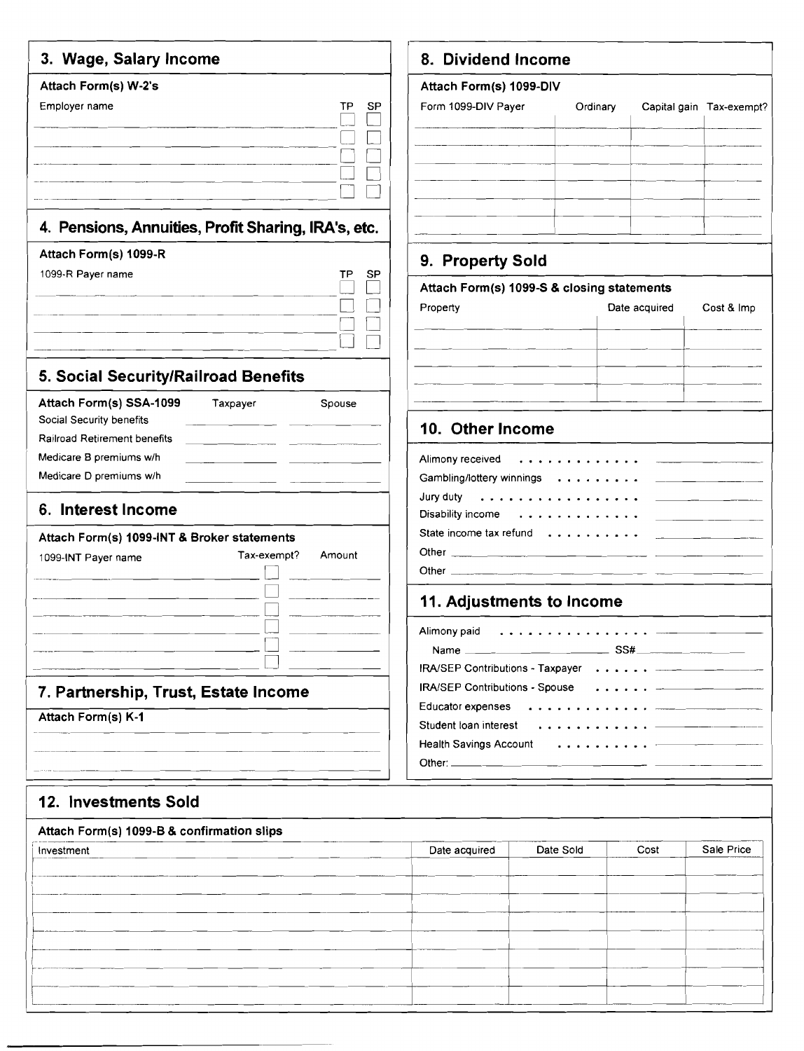|                                                          | 3. Wage, Salary Income                              |
|----------------------------------------------------------|-----------------------------------------------------|
| Attach Form(s) W-2's                                     |                                                     |
| Employer name                                            | ŢР<br>SP                                            |
|                                                          |                                                     |
|                                                          |                                                     |
|                                                          |                                                     |
|                                                          |                                                     |
|                                                          | 4. Pensions, Annuities, Profit Sharing, IRA's, etc. |
| Attach Form(s) 1099-R                                    |                                                     |
| 1099-R Payer name                                        | TР<br>SP                                            |
|                                                          |                                                     |
|                                                          |                                                     |
|                                                          |                                                     |
|                                                          |                                                     |
| 5. Social Security/Railroad Benefits                     |                                                     |
| Attach Form(s) SSA-1099<br>Social Security benefits      | Taxpayer<br>Spouse                                  |
| <b>Railroad Retirement benefits</b>                      |                                                     |
| Medicare B premiums w/h                                  |                                                     |
| Medicare D premiums w/h                                  |                                                     |
|                                                          |                                                     |
| 6. Interest Income                                       |                                                     |
| Attach Form(s) 1099-INT & Broker statements              |                                                     |
| 1099-INT Payer name                                      | Tax-exempt?<br>Amount                               |
|                                                          |                                                     |
|                                                          |                                                     |
|                                                          |                                                     |
|                                                          |                                                     |
|                                                          |                                                     |
| 7. Partnership, Trust, Estate Income                     |                                                     |
|                                                          |                                                     |
|                                                          |                                                     |
|                                                          |                                                     |
| Attach Form(s) K-1                                       |                                                     |
|                                                          |                                                     |
| 12. Investments Sold                                     |                                                     |
|                                                          |                                                     |
| Attach Form(s) 1099-B & confirmation slips<br>Investment |                                                     |
|                                                          |                                                     |

#### **Dividend Income**

# **Attach Form(s) 1099-DIV**  m 1099-DIV Payer **Capital Capital gain Tax-exempt?** --~--~--=J~:±= 1-- ------------+------+--------+---

# **9. Property Sold**

| Attach Form(s) 1099-S & closing statements |               |            |  |  |  |  |  |  |
|--------------------------------------------|---------------|------------|--|--|--|--|--|--|
| Property                                   | Date acquired | Cost & Imp |  |  |  |  |  |  |
|                                            |               |            |  |  |  |  |  |  |
|                                            |               |            |  |  |  |  |  |  |
|                                            |               |            |  |  |  |  |  |  |
|                                            |               |            |  |  |  |  |  |  |

### **10. Other Income**

| Gambling/lottery winnings _________________ |  |
|---------------------------------------------|--|
|                                             |  |
|                                             |  |
|                                             |  |
|                                             |  |

### **11. Adjustments to Income**

| IRA/SEP Contributions - Taxpayer <del>____________</del> ____                                                                                                                                                                 |  |
|-------------------------------------------------------------------------------------------------------------------------------------------------------------------------------------------------------------------------------|--|
| <b>IRA/SEP Contributions - Spouse</b>                                                                                                                                                                                         |  |
|                                                                                                                                                                                                                               |  |
| Student loan interest experience in the state of the state of the state of the state of the state of the state of the state of the state of the state of the state of the state of the state of the state of the state of the |  |
|                                                                                                                                                                                                                               |  |
|                                                                                                                                                                                                                               |  |

| Attach Form(s) 1099-B & confirmation slips |                            |      |            |
|--------------------------------------------|----------------------------|------|------------|
| Investment                                 | Date Sold<br>Date acquired | Cost | Sale Price |
|                                            |                            |      |            |
|                                            |                            |      |            |
|                                            |                            |      |            |
|                                            |                            |      |            |
|                                            |                            |      |            |
|                                            |                            |      |            |
|                                            |                            |      |            |
|                                            |                            |      |            |